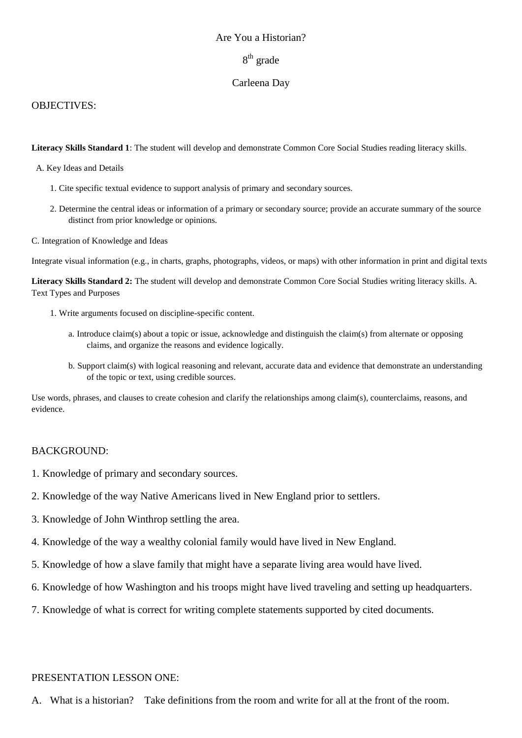#### Are You a Historian?

# 8<sup>th</sup> grade

#### Carleena Day

#### OBJECTIVES:

**Literacy Skills Standard 1**: The student will develop and demonstrate Common Core Social Studies reading literacy skills.

A. Key Ideas and Details

- 1. Cite specific textual evidence to support analysis of primary and secondary sources.
- 2. Determine the central ideas or information of a primary or secondary source; provide an accurate summary of the source distinct from prior knowledge or opinions.
- C. Integration of Knowledge and Ideas

Integrate visual information (e.g., in charts, graphs, photographs, videos, or maps) with other information in print and digital texts

**Literacy Skills Standard 2:** The student will develop and demonstrate Common Core Social Studies writing literacy skills. A. Text Types and Purposes

- 1. Write arguments focused on discipline-specific content.
	- a. Introduce claim(s) about a topic or issue, acknowledge and distinguish the claim(s) from alternate or opposing claims, and organize the reasons and evidence logically.
	- b. Support claim(s) with logical reasoning and relevant, accurate data and evidence that demonstrate an understanding of the topic or text, using credible sources.

Use words, phrases, and clauses to create cohesion and clarify the relationships among claim(s), counterclaims, reasons, and evidence.

### BACKGROUND:

- 1. Knowledge of primary and secondary sources.
- 2. Knowledge of the way Native Americans lived in New England prior to settlers.
- 3. Knowledge of John Winthrop settling the area.
- 4. Knowledge of the way a wealthy colonial family would have lived in New England.
- 5. Knowledge of how a slave family that might have a separate living area would have lived.
- 6. Knowledge of how Washington and his troops might have lived traveling and setting up headquarters.
- 7. Knowledge of what is correct for writing complete statements supported by cited documents.

#### PRESENTATION LESSON ONE:

A. What is a historian? Take definitions from the room and write for all at the front of the room.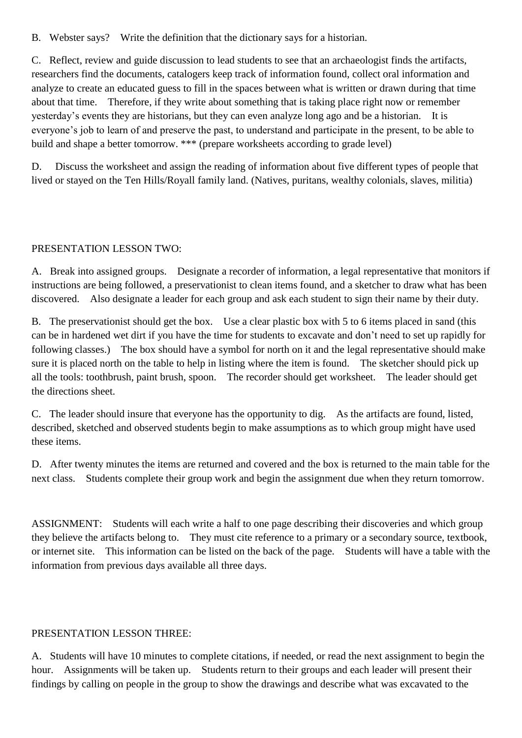B. Webster says? Write the definition that the dictionary says for a historian.

C. Reflect, review and guide discussion to lead students to see that an archaeologist finds the artifacts, researchers find the documents, catalogers keep track of information found, collect oral information and analyze to create an educated guess to fill in the spaces between what is written or drawn during that time about that time. Therefore, if they write about something that is taking place right now or remember yesterday's events they are historians, but they can even analyze long ago and be a historian. It is everyone's job to learn of and preserve the past, to understand and participate in the present, to be able to build and shape a better tomorrow. \*\*\* (prepare worksheets according to grade level)

D. Discuss the worksheet and assign the reading of information about five different types of people that lived or stayed on the Ten Hills/Royall family land. (Natives, puritans, wealthy colonials, slaves, militia)

# PRESENTATION LESSON TWO:

A. Break into assigned groups. Designate a recorder of information, a legal representative that monitors if instructions are being followed, a preservationist to clean items found, and a sketcher to draw what has been discovered. Also designate a leader for each group and ask each student to sign their name by their duty.

B. The preservationist should get the box. Use a clear plastic box with 5 to 6 items placed in sand (this can be in hardened wet dirt if you have the time for students to excavate and don't need to set up rapidly for following classes.) The box should have a symbol for north on it and the legal representative should make sure it is placed north on the table to help in listing where the item is found. The sketcher should pick up all the tools: toothbrush, paint brush, spoon. The recorder should get worksheet. The leader should get the directions sheet.

C. The leader should insure that everyone has the opportunity to dig. As the artifacts are found, listed, described, sketched and observed students begin to make assumptions as to which group might have used these items.

D. After twenty minutes the items are returned and covered and the box is returned to the main table for the next class. Students complete their group work and begin the assignment due when they return tomorrow.

ASSIGNMENT: Students will each write a half to one page describing their discoveries and which group they believe the artifacts belong to. They must cite reference to a primary or a secondary source, textbook, or internet site. This information can be listed on the back of the page. Students will have a table with the information from previous days available all three days.

## PRESENTATION LESSON THREE:

A. Students will have 10 minutes to complete citations, if needed, or read the next assignment to begin the hour. Assignments will be taken up. Students return to their groups and each leader will present their findings by calling on people in the group to show the drawings and describe what was excavated to the